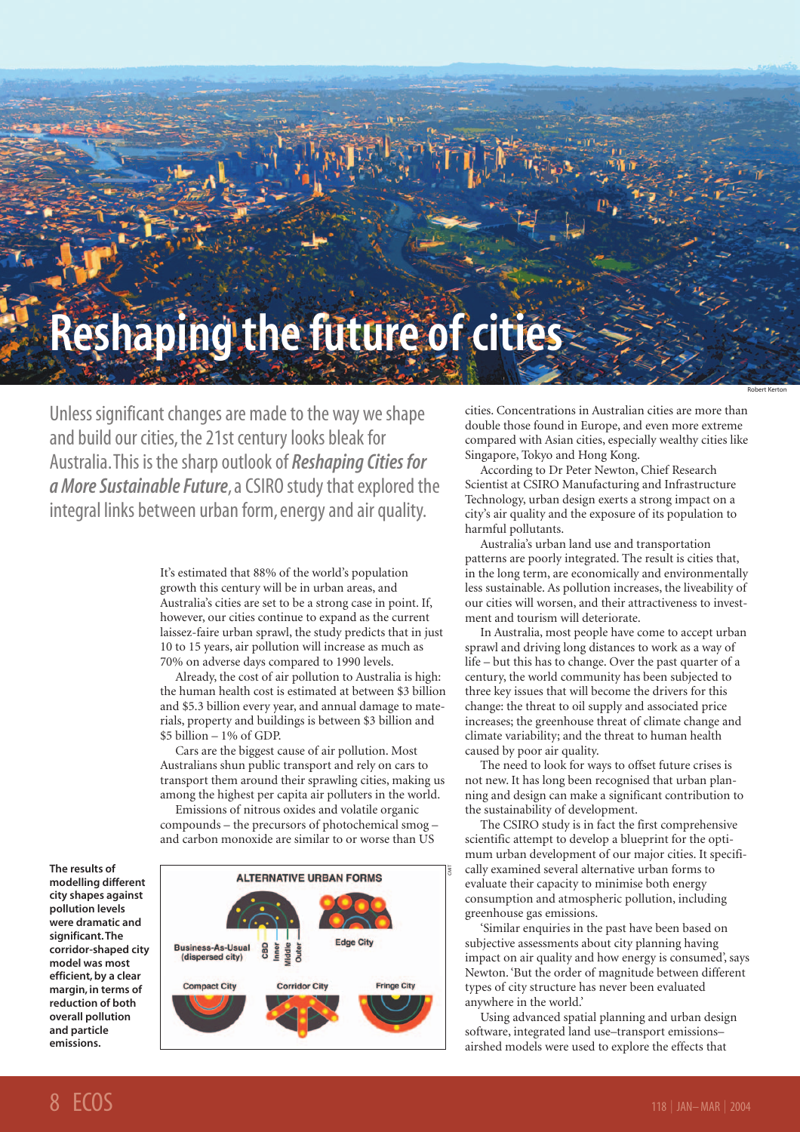# **Reshaping the future of cities**

Unless significant changes are made to the way we shape and build our cities, the 21st century looks bleak for Australia.This is the sharp outlook of *Reshaping Cities for a More Sustainable Future*, a CSIRO study that explored the integral links between urban form, energy and air quality.

> It's estimated that 88% of the world's population growth this century will be in urban areas, and Australia's cities are set to be a strong case in point. If, however, our cities continue to expand as the current laissez-faire urban sprawl, the study predicts that in just 10 to 15 years, air pollution will increase as much as 70% on adverse days compared to 1990 levels.

> Already, the cost of air pollution to Australia is high: the human health cost is estimated at between \$3 billion and \$5.3 billion every year, and annual damage to materials, property and buildings is between \$3 billion and \$5 billion – 1% of GDP.

> Cars are the biggest cause of air pollution. Most Australians shun public transport and rely on cars to transport them around their sprawling cities, making us among the highest per capita air polluters in the world.

Emissions of nitrous oxides and volatile organic compounds – the precursors of photochemical smog – and carbon monoxide are similar to or worse than US

**The results of modelling different city shapes against pollution levels were dramatic and significant.The corridor-shaped city model was most efficient, by a clear margin, in terms of reduction of both overall pollution and particle emissions.**



cities. Concentrations in Australian cities are more than double those found in Europe, and even more extreme compared with Asian cities, especially wealthy cities like Singapore, Tokyo and Hong Kong.

Robert Kerton

According to Dr Peter Newton, Chief Research Scientist at CSIRO Manufacturing and Infrastructure Technology, urban design exerts a strong impact on a city's air quality and the exposure of its population to harmful pollutants.

Australia's urban land use and transportation patterns are poorly integrated. The result is cities that, in the long term, are economically and environmentally less sustainable. As pollution increases, the liveability of our cities will worsen, and their attractiveness to investment and tourism will deteriorate.

In Australia, most people have come to accept urban sprawl and driving long distances to work as a way of life – but this has to change. Over the past quarter of a century, the world community has been subjected to three key issues that will become the drivers for this change: the threat to oil supply and associated price increases; the greenhouse threat of climate change and climate variability; and the threat to human health caused by poor air quality.

The need to look for ways to offset future crises is not new. It has long been recognised that urban planning and design can make a significant contribution to the sustainability of development.

The CSIRO study is in fact the first comprehensive scientific attempt to develop a blueprint for the optimum urban development of our major cities. It specifically examined several alternative urban forms to evaluate their capacity to minimise both energy consumption and atmospheric pollution, including greenhouse gas emissions.

'Similar enquiries in the past have been based on subjective assessments about city planning having impact on air quality and how energy is consumed', says Newton. 'But the order of magnitude between different types of city structure has never been evaluated anywhere in the world.'

Using advanced spatial planning and urban design software, integrated land use–transport emissions– airshed models were used to explore the effects that